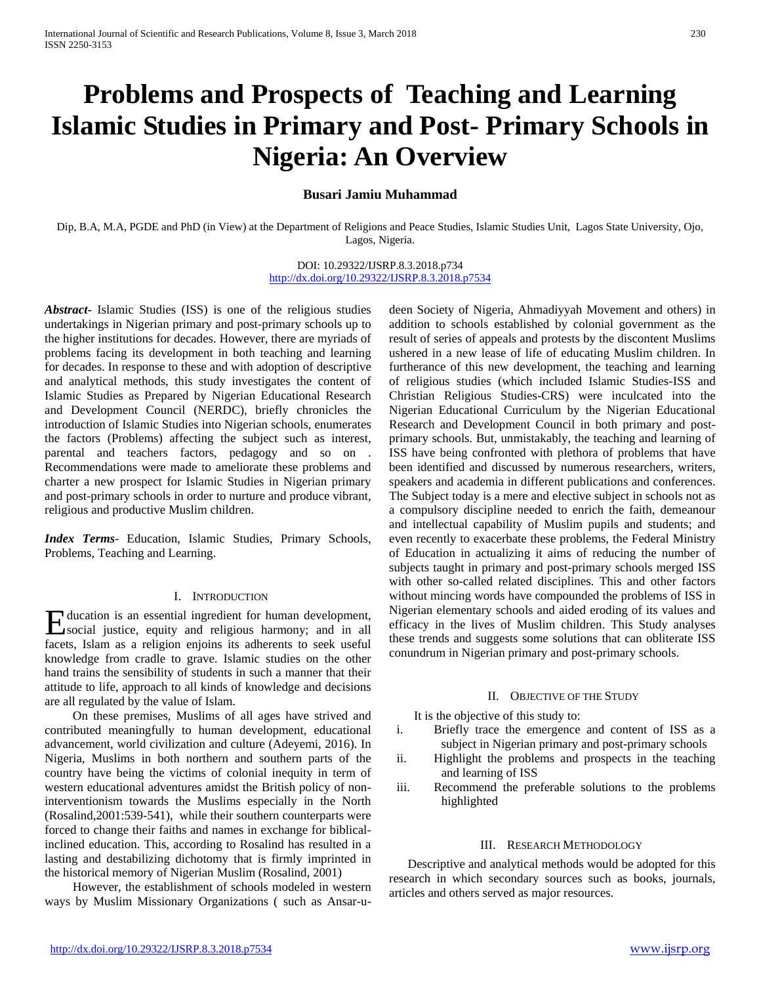# **Problems and Prospects of Teaching and Learning Islamic Studies in Primary and Post- Primary Schools in Nigeria: An Overview**

# **Busari Jamiu Muhammad**

Dip, B.A, M.A, PGDE and PhD (in View) at the Department of Religions and Peace Studies, Islamic Studies Unit, Lagos State University, Ojo, Lagos, Nigeria.

## DOI: 10.29322/IJSRP.8.3.2018.p734 <http://dx.doi.org/10.29322/IJSRP.8.3.2018.p7534>

*Abstract***-** Islamic Studies (ISS) is one of the religious studies undertakings in Nigerian primary and post-primary schools up to the higher institutions for decades. However, there are myriads of problems facing its development in both teaching and learning for decades. In response to these and with adoption of descriptive and analytical methods, this study investigates the content of Islamic Studies as Prepared by Nigerian Educational Research and Development Council (NERDC), briefly chronicles the introduction of Islamic Studies into Nigerian schools, enumerates the factors (Problems) affecting the subject such as interest, parental and teachers factors, pedagogy and so on . Recommendations were made to ameliorate these problems and charter a new prospect for Islamic Studies in Nigerian primary and post-primary schools in order to nurture and produce vibrant, religious and productive Muslim children.

*Index Terms*- Education, Islamic Studies, Primary Schools, Problems, Teaching and Learning.

## I. INTRODUCTION

ducation is an essential ingredient for human development, Education is an essential ingredient for human development,<br>
social justice, equity and religious harmony; and in all facets, Islam as a religion enjoins its adherents to seek useful knowledge from cradle to grave. Islamic studies on the other hand trains the sensibility of students in such a manner that their attitude to life, approach to all kinds of knowledge and decisions are all regulated by the value of Islam.

 On these premises, Muslims of all ages have strived and contributed meaningfully to human development, educational advancement, world civilization and culture (Adeyemi, 2016). In Nigeria, Muslims in both northern and southern parts of the country have being the victims of colonial inequity in term of western educational adventures amidst the British policy of noninterventionism towards the Muslims especially in the North (Rosalind,2001:539-541), while their southern counterparts were forced to change their faiths and names in exchange for biblicalinclined education. This, according to Rosalind has resulted in a lasting and destabilizing dichotomy that is firmly imprinted in the historical memory of Nigerian Muslim (Rosalind, 2001)

 However, the establishment of schools modeled in western ways by Muslim Missionary Organizations ( such as Ansar-udeen Society of Nigeria, Ahmadiyyah Movement and others) in addition to schools established by colonial government as the result of series of appeals and protests by the discontent Muslims ushered in a new lease of life of educating Muslim children. In furtherance of this new development, the teaching and learning of religious studies (which included Islamic Studies-ISS and Christian Religious Studies-CRS) were inculcated into the Nigerian Educational Curriculum by the Nigerian Educational Research and Development Council in both primary and postprimary schools. But, unmistakably, the teaching and learning of ISS have being confronted with plethora of problems that have been identified and discussed by numerous researchers, writers, speakers and academia in different publications and conferences. The Subject today is a mere and elective subject in schools not as a compulsory discipline needed to enrich the faith, demeanour and intellectual capability of Muslim pupils and students; and even recently to exacerbate these problems, the Federal Ministry of Education in actualizing it aims of reducing the number of subjects taught in primary and post-primary schools merged ISS with other so-called related disciplines. This and other factors without mincing words have compounded the problems of ISS in Nigerian elementary schools and aided eroding of its values and efficacy in the lives of Muslim children. This Study analyses these trends and suggests some solutions that can obliterate ISS conundrum in Nigerian primary and post-primary schools.

#### II. OBJECTIVE OF THE STUDY

It is the objective of this study to:

- i. Briefly trace the emergence and content of ISS as a subject in Nigerian primary and post-primary schools
- ii. Highlight the problems and prospects in the teaching and learning of ISS
- iii. Recommend the preferable solutions to the problems highlighted

#### III. RESEARCH METHODOLOGY

 Descriptive and analytical methods would be adopted for this research in which secondary sources such as books, journals, articles and others served as major resources.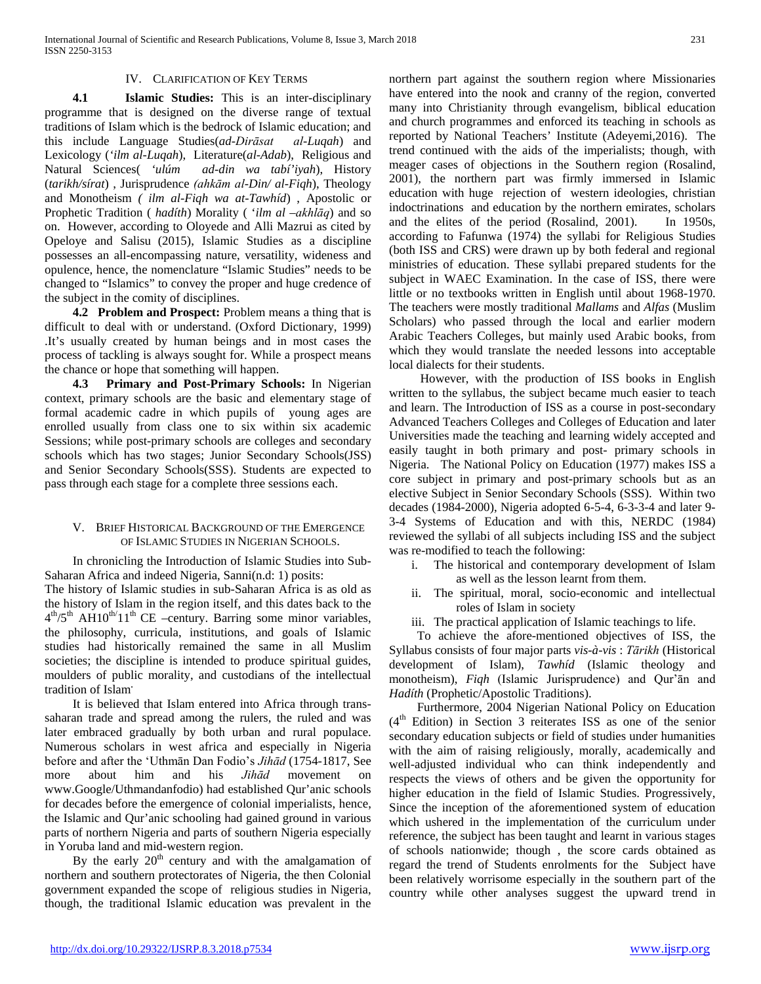## IV. CLARIFICATION OF KEY TERMS

 **4.1 Islamic Studies:** This is an inter-disciplinary programme that is designed on the diverse range of textual traditions of Islam which is the bedrock of Islamic education; and this include Language Studies(*ad-Dirāsat al-Luqah*) and Lexicology ('ilm al-Luqah), Literature(al-Adab), Religious and Natural Sciences( 'ulúm ad-din wa tabí'iyah), History ad-din wa tabí'iyah), History (*tarikh/sírat*) , Jurisprudence *(ahkām al-Din/ al-Fiqh*), Theology and Monotheism *( ilm al-Fiqh wa at-Tawhíd*) , Apostolic or Prophetic Tradition ( *hadíth*) Morality ( '*ilm al –akhlāq*) and so on. However, according to Oloyede and Alli Mazrui as cited by Opeloye and Salisu (2015), Islamic Studies as a discipline possesses an all-encompassing nature, versatility, wideness and opulence, hence, the nomenclature "Islamic Studies" needs to be changed to "Islamics" to convey the proper and huge credence of the subject in the comity of disciplines.

 **4.2 Problem and Prospect:** Problem means a thing that is difficult to deal with or understand. (Oxford Dictionary, 1999) .It's usually created by human beings and in most cases the process of tackling is always sought for. While a prospect means the chance or hope that something will happen.

 **4.3 Primary and Post-Primary Schools:** In Nigerian context, primary schools are the basic and elementary stage of formal academic cadre in which pupils of young ages are enrolled usually from class one to six within six academic Sessions; while post-primary schools are colleges and secondary schools which has two stages; Junior Secondary Schools(JSS) and Senior Secondary Schools(SSS). Students are expected to pass through each stage for a complete three sessions each.

# V. BRIEF HISTORICAL BACKGROUND OF THE EMERGENCE OF ISLAMIC STUDIES IN NIGERIAN SCHOOLS.

 In chronicling the Introduction of Islamic Studies into Sub-Saharan Africa and indeed Nigeria, Sanni(n.d: 1) posits: The history of Islamic studies in sub-Saharan Africa is as old as the history of Islam in the region itself, and this dates back to the  $4<sup>th</sup>/5<sup>th</sup>$  AH10<sup>th/</sup>11<sup>th</sup> CE –century. Barring some minor variables, the philosophy, curricula, institutions, and goals of Islamic studies had historically remained the same in all Muslim societies; the discipline is intended to produce spiritual guides, moulders of public morality, and custodians of the intellectual tradition of Islam**.**

 It is believed that Islam entered into Africa through transsaharan trade and spread among the rulers, the ruled and was later embraced gradually by both urban and rural populace. Numerous scholars in west africa and especially in Nigeria before and after the 'Uthmān Dan Fodio's *Jihād* (1754-1817, See more about him and his *Jihād* movement on www.Google/Uthmandanfodio) had established Qur'anic schools for decades before the emergence of colonial imperialists, hence, the Islamic and Qur'anic schooling had gained ground in various parts of northern Nigeria and parts of southern Nigeria especially in Yoruba land and mid-western region.

By the early  $20<sup>th</sup>$  century and with the amalgamation of northern and southern protectorates of Nigeria, the then Colonial government expanded the scope of religious studies in Nigeria, though, the traditional Islamic education was prevalent in the northern part against the southern region where Missionaries have entered into the nook and cranny of the region, converted many into Christianity through evangelism, biblical education and church programmes and enforced its teaching in schools as reported by National Teachers' Institute (Adeyemi,2016).The trend continued with the aids of the imperialists; though, with meager cases of objections in the Southern region (Rosalind, 2001), the northern part was firmly immersed in Islamic education with huge rejection of western ideologies, christian indoctrinations and education by the northern emirates, scholars and the elites of the period (Rosalind, 2001). In 1950s, according to Fafunwa (1974) the syllabi for Religious Studies (both ISS and CRS) were drawn up by both federal and regional ministries of education. These syllabi prepared students for the subject in WAEC Examination. In the case of ISS, there were little or no textbooks written in English until about 1968-1970. The teachers were mostly traditional *Mallams* and *Alfas* (Muslim Scholars) who passed through the local and earlier modern Arabic Teachers Colleges, but mainly used Arabic books, from which they would translate the needed lessons into acceptable local dialects for their students.

 However, with the production of ISS books in English written to the syllabus, the subject became much easier to teach and learn. The Introduction of ISS as a course in post-secondary Advanced Teachers Colleges and Colleges of Education and later Universities made the teaching and learning widely accepted and easily taught in both primary and post- primary schools in Nigeria. The National Policy on Education (1977) makes ISS a core subject in primary and post-primary schools but as an elective Subject in Senior Secondary Schools (SSS). Within two decades (1984-2000), Nigeria adopted 6-5-4, 6-3-3-4 and later 9- 3-4 Systems of Education and with this, NERDC (1984) reviewed the syllabi of all subjects including ISS and the subject was re-modified to teach the following:

- i. The historical and contemporary development of Islam as well as the lesson learnt from them.
- ii. The spiritual, moral, socio-economic and intellectual roles of Islam in society
- iii. The practical application of Islamic teachings to life.

 To achieve the afore-mentioned objectives of ISS, the Syllabus consists of four major parts *vis-à-vis* : *Tārikh* (Historical development of Islam), *Tawhíd* (Islamic theology and monotheism), *Fiqh* (Islamic Jurisprudence) and Qur'ān and *Hadíth* (Prophetic/Apostolic Traditions).

 Furthermore, 2004 Nigerian National Policy on Education  $(4<sup>th</sup> Edition)$  in Section 3 reiterates ISS as one of the senior secondary education subjects or field of studies under humanities with the aim of raising religiously, morally, academically and well-adjusted individual who can think independently and respects the views of others and be given the opportunity for higher education in the field of Islamic Studies. Progressively, Since the inception of the aforementioned system of education which ushered in the implementation of the curriculum under reference, the subject has been taught and learnt in various stages of schools nationwide; though , the score cards obtained as regard the trend of Students enrolments for the Subject have been relatively worrisome especially in the southern part of the country while other analyses suggest the upward trend in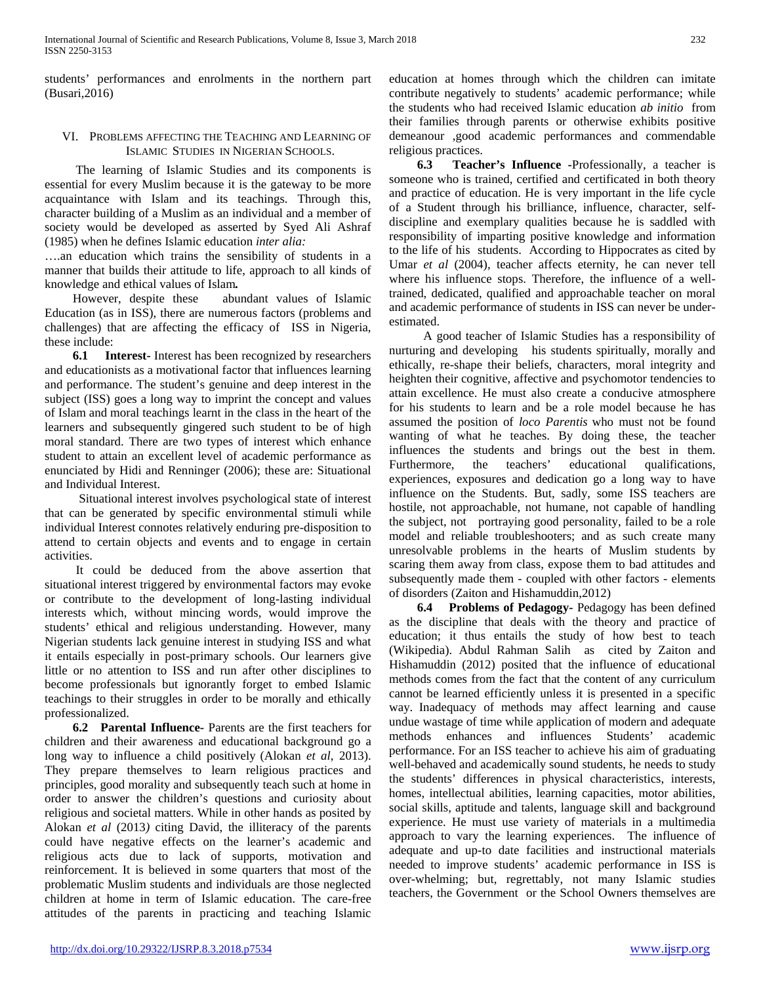students' performances and enrolments in the northern part (Busari,2016)

## VI. PROBLEMS AFFECTING THE TEACHING AND LEARNING OF ISLAMIC STUDIES IN NIGERIAN SCHOOLS.

 The learning of Islamic Studies and its components is essential for every Muslim because it is the gateway to be more acquaintance with Islam and its teachings. Through this, character building of a Muslim as an individual and a member of society would be developed as asserted by Syed Ali Ashraf (1985) when he defines Islamic education *inter alia:*

….an education which trains the sensibility of students in a manner that builds their attitude to life, approach to all kinds of knowledge and ethical values of Islam*.*

 However, despite these abundant values of Islamic Education (as in ISS), there are numerous factors (problems and challenges) that are affecting the efficacy of ISS in Nigeria, these include:

 **6.1 Interest-** Interest has been recognized by researchers and educationists as a motivational factor that influences learning and performance. The student's genuine and deep interest in the subject (ISS) goes a long way to imprint the concept and values of Islam and moral teachings learnt in the class in the heart of the learners and subsequently gingered such student to be of high moral standard. There are two types of interest which enhance student to attain an excellent level of academic performance as enunciated by Hidi and Renninger (2006); these are: Situational and Individual Interest.

 Situational interest involves psychological state of interest that can be generated by specific environmental stimuli while individual Interest connotes relatively enduring pre-disposition to attend to certain objects and events and to engage in certain activities.

 It could be deduced from the above assertion that situational interest triggered by environmental factors may evoke or contribute to the development of long-lasting individual interests which, without mincing words, would improve the students' ethical and religious understanding. However, many Nigerian students lack genuine interest in studying ISS and what it entails especially in post-primary schools. Our learners give little or no attention to ISS and run after other disciplines to become professionals but ignorantly forget to embed Islamic teachings to their struggles in order to be morally and ethically professionalized.

 **6.2 Parental Influence-** Parents are the first teachers for children and their awareness and educational background go a long way to influence a child positively (Alokan *et al*, 2013). They prepare themselves to learn religious practices and principles, good morality and subsequently teach such at home in order to answer the children's questions and curiosity about religious and societal matters. While in other hands as posited by Alokan *et al* (2013*)* citing David, the illiteracy of the parents could have negative effects on the learner's academic and religious acts due to lack of supports, motivation and reinforcement. It is believed in some quarters that most of the problematic Muslim students and individuals are those neglected children at home in term of Islamic education. The care-free attitudes of the parents in practicing and teaching Islamic

education at homes through which the children can imitate contribute negatively to students' academic performance; while the students who had received Islamic education *ab initio* from their families through parents or otherwise exhibits positive demeanour ,good academic performances and commendable religious practices.

 **6.3 Teacher's Influence -**Professionally, a teacher is someone who is trained, certified and certificated in both theory and practice of education. He is very important in the life cycle of a Student through his brilliance, influence, character, selfdiscipline and exemplary qualities because he is saddled with responsibility of imparting positive knowledge and information to the life of his students. According to Hippocrates as cited by Umar *et al* (2004), teacher affects eternity, he can never tell where his influence stops. Therefore, the influence of a welltrained, dedicated, qualified and approachable teacher on moral and academic performance of students in ISS can never be underestimated.

 A good teacher of Islamic Studies has a responsibility of nurturing and developing his students spiritually, morally and ethically, re-shape their beliefs, characters, moral integrity and heighten their cognitive, affective and psychomotor tendencies to attain excellence. He must also create a conducive atmosphere for his students to learn and be a role model because he has assumed the position of *loco Parentis* who must not be found wanting of what he teaches. By doing these, the teacher influences the students and brings out the best in them. Furthermore, the teachers' educational qualifications, experiences, exposures and dedication go a long way to have influence on the Students. But, sadly, some ISS teachers are hostile, not approachable, not humane, not capable of handling the subject, not portraying good personality, failed to be a role model and reliable troubleshooters; and as such create many unresolvable problems in the hearts of Muslim students by scaring them away from class, expose them to bad attitudes and subsequently made them - coupled with other factors - elements of disorders (Zaiton and Hishamuddin,2012)

 **6.4 Problems of Pedagogy-** Pedagogy has been defined as the discipline that deals with the theory and practice of education; it thus entails the study of how best to teach (Wikipedia). Abdul Rahman Salih as cited by Zaiton and Hishamuddin (2012) posited that the influence of educational methods comes from the fact that the content of any curriculum cannot be learned efficiently unless it is presented in a specific way. Inadequacy of methods may affect learning and cause undue wastage of time while application of modern and adequate methods enhances and influences Students' academic performance. For an ISS teacher to achieve his aim of graduating well-behaved and academically sound students, he needs to study the students' differences in physical characteristics, interests, homes, intellectual abilities, learning capacities, motor abilities, social skills, aptitude and talents, language skill and background experience. He must use variety of materials in a multimedia approach to vary the learning experiences. The influence of adequate and up-to date facilities and instructional materials needed to improve students' academic performance in ISS is over-whelming; but, regrettably, not many Islamic studies teachers, the Government or the School Owners themselves are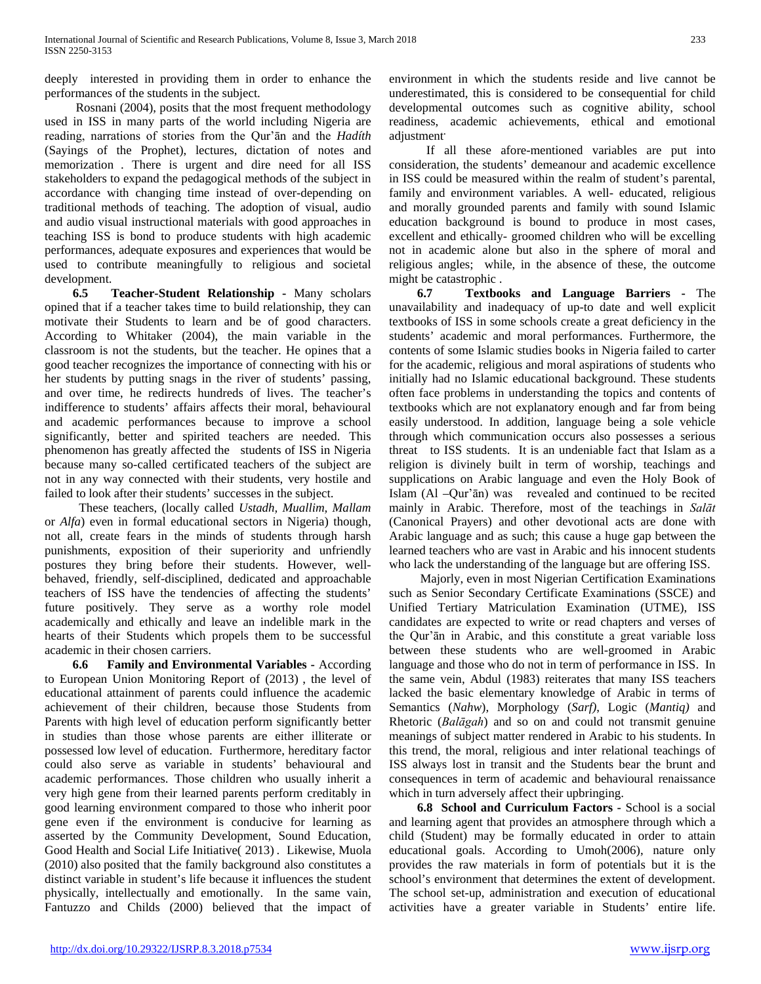deeply interested in providing them in order to enhance the performances of the students in the subject.

 Rosnani (2004), posits that the most frequent methodology used in ISS in many parts of the world including Nigeria are reading, narrations of stories from the Qur'ān and the *Hadíth* (Sayings of the Prophet), lectures, dictation of notes and memorization . There is urgent and dire need for all ISS stakeholders to expand the pedagogical methods of the subject in accordance with changing time instead of over-depending on traditional methods of teaching. The adoption of visual, audio and audio visual instructional materials with good approaches in teaching ISS is bond to produce students with high academic performances, adequate exposures and experiences that would be used to contribute meaningfully to religious and societal development.

 **6.5 Teacher-Student Relationship -** Many scholars opined that if a teacher takes time to build relationship, they can motivate their Students to learn and be of good characters. According to Whitaker (2004), the main variable in the classroom is not the students, but the teacher. He opines that a good teacher recognizes the importance of connecting with his or her students by putting snags in the river of students' passing, and over time, he redirects hundreds of lives. The teacher's indifference to students' affairs affects their moral, behavioural and academic performances because to improve a school significantly, better and spirited teachers are needed. This phenomenon has greatly affected the students of ISS in Nigeria because many so-called certificated teachers of the subject are not in any way connected with their students, very hostile and failed to look after their students' successes in the subject.

 These teachers, (locally called *Ustadh, Muallim, Mallam*  or *Alfa*) even in formal educational sectors in Nigeria) though, not all, create fears in the minds of students through harsh punishments, exposition of their superiority and unfriendly postures they bring before their students. However, wellbehaved, friendly, self-disciplined, dedicated and approachable teachers of ISS have the tendencies of affecting the students' future positively. They serve as a worthy role model academically and ethically and leave an indelible mark in the hearts of their Students which propels them to be successful academic in their chosen carriers.

 **6.6 Family and Environmental Variables -** According to European Union Monitoring Report of (2013) , the level of educational attainment of parents could influence the academic achievement of their children, because those Students from Parents with high level of education perform significantly better in studies than those whose parents are either illiterate or possessed low level of education. Furthermore, hereditary factor could also serve as variable in students' behavioural and academic performances. Those children who usually inherit a very high gene from their learned parents perform creditably in good learning environment compared to those who inherit poor gene even if the environment is conducive for learning as asserted by the Community Development, Sound Education, Good Health and Social Life Initiative( 2013) . Likewise, Muola (2010) also posited that the family background also constitutes a distinct variable in student's life because it influences the student physically, intellectually and emotionally. In the same vain, Fantuzzo and Childs (2000) believed that the impact of environment in which the students reside and live cannot be underestimated, this is considered to be consequential for child developmental outcomes such as cognitive ability, school readiness, academic achievements, ethical and emotional adjustment**.**

 If all these afore-mentioned variables are put into consideration, the students' demeanour and academic excellence in ISS could be measured within the realm of student's parental, family and environment variables. A well- educated, religious and morally grounded parents and family with sound Islamic education background is bound to produce in most cases, excellent and ethically- groomed children who will be excelling not in academic alone but also in the sphere of moral and religious angles; while, in the absence of these, the outcome might be catastrophic .

 **6.7 Textbooks and Language Barriers -** The unavailability and inadequacy of up-to date and well explicit textbooks of ISS in some schools create a great deficiency in the students' academic and moral performances. Furthermore, the contents of some Islamic studies books in Nigeria failed to carter for the academic, religious and moral aspirations of students who initially had no Islamic educational background. These students often face problems in understanding the topics and contents of textbooks which are not explanatory enough and far from being easily understood. In addition, language being a sole vehicle through which communication occurs also possesses a serious threat to ISS students. It is an undeniable fact that Islam as a religion is divinely built in term of worship, teachings and supplications on Arabic language and even the Holy Book of Islam (Al –Qur'ān) was revealed and continued to be recited mainly in Arabic. Therefore, most of the teachings in *Salāt* (Canonical Prayers) and other devotional acts are done with Arabic language and as such; this cause a huge gap between the learned teachers who are vast in Arabic and his innocent students who lack the understanding of the language but are offering ISS.

 Majorly, even in most Nigerian Certification Examinations such as Senior Secondary Certificate Examinations (SSCE) and Unified Tertiary Matriculation Examination (UTME), ISS candidates are expected to write or read chapters and verses of the Qur'ān in Arabic, and this constitute a great variable loss between these students who are well-groomed in Arabic language and those who do not in term of performance in ISS. In the same vein, Abdul (1983) reiterates that many ISS teachers lacked the basic elementary knowledge of Arabic in terms of Semantics (*Nahw*), Morphology (*Sarf)*, Logic (*Mantiq)* and Rhetoric (*Balāgah*) and so on and could not transmit genuine meanings of subject matter rendered in Arabic to his students. In this trend, the moral, religious and inter relational teachings of ISS always lost in transit and the Students bear the brunt and consequences in term of academic and behavioural renaissance which in turn adversely affect their upbringing.

 **6.8 School and Curriculum Factors -** School is a social and learning agent that provides an atmosphere through which a child (Student) may be formally educated in order to attain educational goals. According to Umoh(2006), nature only provides the raw materials in form of potentials but it is the school's environment that determines the extent of development. The school set-up, administration and execution of educational activities have a greater variable in Students' entire life.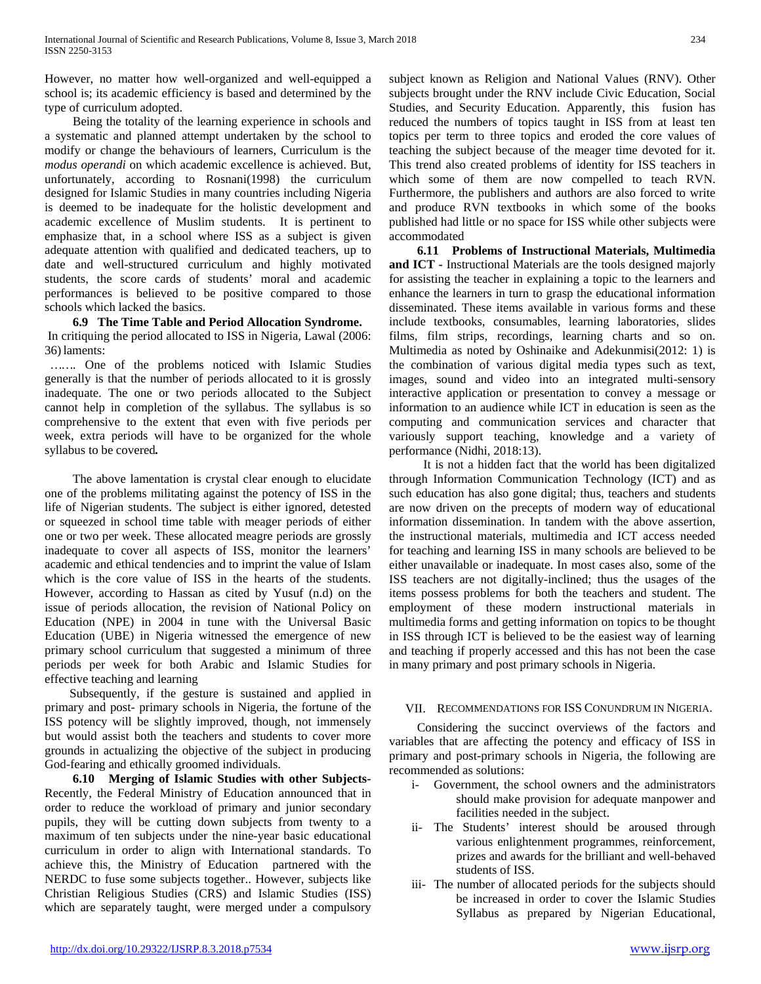However, no matter how well-organized and well-equipped a school is; its academic efficiency is based and determined by the type of curriculum adopted.

 Being the totality of the learning experience in schools and a systematic and planned attempt undertaken by the school to modify or change the behaviours of learners, Curriculum is the *modus operandi* on which academic excellence is achieved. But, unfortunately, according to Rosnani(1998) the curriculum designed for Islamic Studies in many countries including Nigeria is deemed to be inadequate for the holistic development and academic excellence of Muslim students. It is pertinent to emphasize that, in a school where ISS as a subject is given adequate attention with qualified and dedicated teachers, up to date and well-structured curriculum and highly motivated students, the score cards of students' moral and academic performances is believed to be positive compared to those schools which lacked the basics.

# **6.9 The Time Table and Period Allocation Syndrome.**

In critiquing the period allocated to ISS in Nigeria, Lawal (2006: 36)laments:

*…….* One of the problems noticed with Islamic Studies generally is that the number of periods allocated to it is grossly inadequate. The one or two periods allocated to the Subject cannot help in completion of the syllabus. The syllabus is so comprehensive to the extent that even with five periods per week, extra periods will have to be organized for the whole syllabus to be covered*.*

 The above lamentation is crystal clear enough to elucidate one of the problems militating against the potency of ISS in the life of Nigerian students. The subject is either ignored, detested or squeezed in school time table with meager periods of either one or two per week. These allocated meagre periods are grossly inadequate to cover all aspects of ISS, monitor the learners' academic and ethical tendencies and to imprint the value of Islam which is the core value of ISS in the hearts of the students. However, according to Hassan as cited by Yusuf (n.d) on the issue of periods allocation, the revision of National Policy on Education (NPE) in 2004 in tune with the Universal Basic Education (UBE) in Nigeria witnessed the emergence of new primary school curriculum that suggested a minimum of three periods per week for both Arabic and Islamic Studies for effective teaching and learning

 Subsequently, if the gesture is sustained and applied in primary and post- primary schools in Nigeria, the fortune of the ISS potency will be slightly improved, though, not immensely but would assist both the teachers and students to cover more grounds in actualizing the objective of the subject in producing God-fearing and ethically groomed individuals.

 **6.10 Merging of Islamic Studies with other Subjects-**Recently, the Federal Ministry of Education announced that in order to reduce the workload of primary and junior secondary pupils, they will be cutting down subjects from twenty to a maximum of ten subjects under the nine-year basic educational curriculum in order to align with International standards. To achieve this, the Ministry of Education partnered with the NERDC to fuse some subjects together.. However, subjects like Christian Religious Studies (CRS) and Islamic Studies (ISS) which are separately taught, were merged under a compulsory subject known as Religion and National Values (RNV). Other subjects brought under the RNV include Civic Education, Social Studies, and Security Education. Apparently, this fusion has reduced the numbers of topics taught in ISS from at least ten topics per term to three topics and eroded the core values of teaching the subject because of the meager time devoted for it. This trend also created problems of identity for ISS teachers in which some of them are now compelled to teach RVN. Furthermore, the publishers and authors are also forced to write and produce RVN textbooks in which some of the books published had little or no space for ISS while other subjects were accommodated

 **6.11 Problems of Instructional Materials, Multimedia and ICT -** Instructional Materials are the tools designed majorly for assisting the teacher in explaining a topic to the learners and enhance the learners in turn to grasp the educational information disseminated. These items available in various forms and these include textbooks, consumables, learning laboratories, slides films, film strips, recordings, learning charts and so on. Multimedia as noted by Oshinaike and Adekunmisi(2012: 1) is the combination of various digital media types such as text, images, sound and video into an integrated multi-sensory interactive application or presentation to convey a message or information to an audience while ICT in education is seen as the computing and communication services and character that variously support teaching, knowledge and a variety of performance (Nidhi, 2018:13).

 It is not a hidden fact that the world has been digitalized through Information Communication Technology (ICT) and as such education has also gone digital; thus, teachers and students are now driven on the precepts of modern way of educational information dissemination. In tandem with the above assertion, the instructional materials, multimedia and ICT access needed for teaching and learning ISS in many schools are believed to be either unavailable or inadequate. In most cases also, some of the ISS teachers are not digitally-inclined; thus the usages of the items possess problems for both the teachers and student. The employment of these modern instructional materials in multimedia forms and getting information on topics to be thought in ISS through ICT is believed to be the easiest way of learning and teaching if properly accessed and this has not been the case in many primary and post primary schools in Nigeria.

## VII. RECOMMENDATIONS FOR ISS CONUNDRUM IN NIGERIA.

 Considering the succinct overviews of the factors and variables that are affecting the potency and efficacy of ISS in primary and post-primary schools in Nigeria, the following are recommended as solutions:

- i- Government, the school owners and the administrators should make provision for adequate manpower and facilities needed in the subject.
- ii- The Students' interest should be aroused through various enlightenment programmes, reinforcement, prizes and awards for the brilliant and well-behaved students of ISS.
- iii- The number of allocated periods for the subjects should be increased in order to cover the Islamic Studies Syllabus as prepared by Nigerian Educational,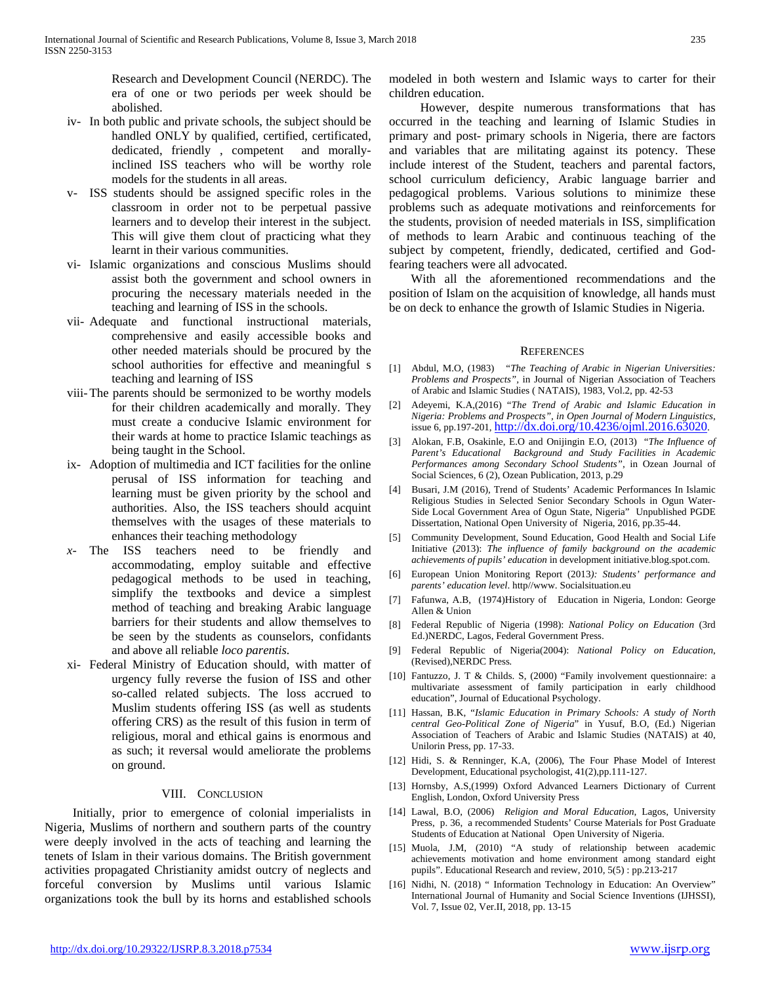Research and Development Council (NERDC). The era of one or two periods per week should be abolished.

- iv- In both public and private schools, the subject should be handled ONLY by qualified, certified, certificated, dedicated, friendly , competent and morallyinclined ISS teachers who will be worthy role models for the students in all areas.
- v- ISS students should be assigned specific roles in the classroom in order not to be perpetual passive learners and to develop their interest in the subject. This will give them clout of practicing what they learnt in their various communities.
- vi- Islamic organizations and conscious Muslims should assist both the government and school owners in procuring the necessary materials needed in the teaching and learning of ISS in the schools.
- vii- Adequate and functional instructional materials, comprehensive and easily accessible books and other needed materials should be procured by the school authorities for effective and meaningful s teaching and learning of ISS
- viii-The parents should be sermonized to be worthy models for their children academically and morally. They must create a conducive Islamic environment for their wards at home to practice Islamic teachings as being taught in the School.
- ix- Adoption of multimedia and ICT facilities for the online perusal of ISS information for teaching and learning must be given priority by the school and authorities. Also, the ISS teachers should acquint themselves with the usages of these materials to enhances their teaching methodology
- *x-* The ISS teachers need to be friendly and accommodating, employ suitable and effective pedagogical methods to be used in teaching, simplify the textbooks and device a simplest method of teaching and breaking Arabic language barriers for their students and allow themselves to be seen by the students as counselors, confidants and above all reliable *loco parentis.*
- xi- Federal Ministry of Education should, with matter of urgency fully reverse the fusion of ISS and other so-called related subjects. The loss accrued to Muslim students offering ISS (as well as students offering CRS) as the result of this fusion in term of religious, moral and ethical gains is enormous and as such; it reversal would ameliorate the problems on ground.

## VIII. CONCLUSION

 Initially, prior to emergence of colonial imperialists in Nigeria, Muslims of northern and southern parts of the country were deeply involved in the acts of teaching and learning the tenets of Islam in their various domains. The British government activities propagated Christianity amidst outcry of neglects and forceful conversion by Muslims until various Islamic organizations took the bull by its horns and established schools modeled in both western and Islamic ways to carter for their children education.

 However, despite numerous transformations that has occurred in the teaching and learning of Islamic Studies in primary and post- primary schools in Nigeria, there are factors and variables that are militating against its potency. These include interest of the Student, teachers and parental factors, school curriculum deficiency, Arabic language barrier and pedagogical problems. Various solutions to minimize these problems such as adequate motivations and reinforcements for the students, provision of needed materials in ISS, simplification of methods to learn Arabic and continuous teaching of the subject by competent, friendly, dedicated, certified and Godfearing teachers were all advocated.

 With all the aforementioned recommendations and the position of Islam on the acquisition of knowledge, all hands must be on deck to enhance the growth of Islamic Studies in Nigeria.

### **REFERENCES**

- [1] Abdul, M.O, (1983) "*The Teaching of Arabic in Nigerian Universities: Problems and Prospects",* in Journal of Nigerian Association of Teachers of Arabic and Islamic Studies ( NATAIS), 1983, Vol.2, pp. 42-53
- [2] Adeyemi, K.A,(2016) "*The Trend of Arabic and Islamic Education in Nigeria: Problems and Prospects", in Open Journal of Modern Linguistics*, issue 6, pp.197-201, [http://dx.doi.org/10.4236/ojml.2016.63020.](http://dx.doi.org/10.4236/ojml.2016.63020)
- [3] Alokan, F.B, Osakinle, E.O and Onijingin E.O, (2013) "*The Influence of Parent's Educational Background and Study Facilities in Academic Performances among Secondary School Students"*, in Ozean Journal of Social Sciences, 6 (2), Ozean Publication, 2013, p.29
- [4] Busari, J.M (2016), Trend of Students' Academic Performances In Islamic Religious Studies in Selected Senior Secondary Schools in Ogun Water-Side Local Government Area of Ogun State, Nigeria" Unpublished PGDE Dissertation, National Open University of Nigeria, 2016, pp.35-44.
- [5] Community Development, Sound Education, Good Health and Social Life Initiative (*2*013): *The influence of family background on the academic achievements of pupils' education* in development initiative.blog.spot.com.
- [6] European Union Monitoring Report (2013*): Students' performance and parents' education level*. http//www. Socialsituation.eu
- [7] Fafunwa, A.B, (1974)History of Education in Nigeria, London: George Allen & Union
- [8] Federal Republic of Nigeria (1998): *National Policy on Education* (3rd Ed.)NERDC, Lagos, Federal Government Press.
- [9] Federal Republic of Nigeria(2004): *National Policy on Education*, (Revised),NERDC Press*.*
- [10] Fantuzzo, J. T & Childs. S, (2000) "Family involvement questionnaire: a multivariate assessment of family participation in early childhood education", Journal of Educational Psychology.
- [11] Hassan, B.K, "*Islamic Education in Primary Schools: A study of North central Geo-Political Zone of Nigeria*" in Yusuf, B.O, (Ed.) Nigerian Association of Teachers of Arabic and Islamic Studies (NATAIS) at 40, Unilorin Press, pp. 17-33.
- [12] Hidi, S. & Renninger, K.A, (2006), The Four Phase Model of Interest Development, Educational psychologist, 41(2),pp.111-127.
- [13] Hornsby, A.S,(1999) Oxford Advanced Learners Dictionary of Current English, London, Oxford University Press
- [14] Lawal, B.O, (2006) *Religion and Moral Education*, Lagos, University Press, p. 36, a recommended Students' Course Materials for Post Graduate Students of Education at National Open University of Nigeria.
- [15] Muola, J.M, (2010) "A study of relationship between academic achievements motivation and home environment among standard eight pupils". Educational Research and review, 2010, 5(5) : pp.213-217
- [16] Nidhi, N. (2018) " Information Technology in Education: An Overview" International Journal of Humanity and Social Science Inventions (IJHSSI), Vol. 7, Issue 02, Ver.II, 2018, pp. 13-15